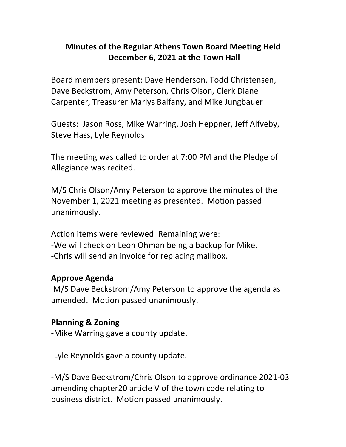## **Minutes of the Regular Athens Town Board Meeting Held December 6, 2021 at the Town Hall**

Board members present: Dave Henderson, Todd Christensen, Dave Beckstrom, Amy Peterson, Chris Olson, Clerk Diane Carpenter, Treasurer Marlys Balfany, and Mike Jungbauer

Guests: Jason Ross, Mike Warring, Josh Heppner, Jeff Alfveby, Steve Hass, Lyle Reynolds

The meeting was called to order at 7:00 PM and the Pledge of Allegiance was recited.

M/S Chris Olson/Amy Peterson to approve the minutes of the November 1, 2021 meeting as presented. Motion passed unanimously.

Action items were reviewed. Remaining were: -We will check on Leon Ohman being a backup for Mike. -Chris will send an invoice for replacing mailbox.

#### **Approve(Agenda**

M/S Dave Beckstrom/Amy Peterson to approve the agenda as amended. Motion passed unanimously.

#### **Planning & Zoning**

-Mike Warring gave a county update.

-Lyle Reynolds gave a county update.

-M/S Dave Beckstrom/Chris Olson to approve ordinance 2021-03 amending chapter20 article V of the town code relating to business district. Motion passed unanimously.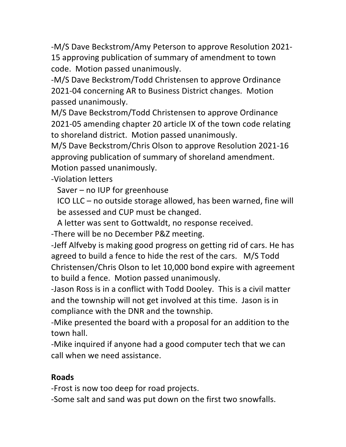-M/S Dave Beckstrom/Amy Peterson to approve Resolution 2021-15 approving publication of summary of amendment to town code. Motion passed unanimously.

-M/S Dave Beckstrom/Todd Christensen to approve Ordinance 2021-04 concerning AR to Business District changes. Motion passed unanimously.

M/S Dave Beckstrom/Todd Christensen to approve Ordinance 2021-05 amending chapter 20 article IX of the town code relating to shoreland district. Motion passed unanimously.

M/S Dave Beckstrom/Chris Olson to approve Resolution 2021-16 approving publication of summary of shoreland amendment. Motion passed unanimously.

-Violation letters

Saver – no IUP for greenhouse

 $ICO$  LLC – no outside storage allowed, has been warned, fine will be assessed and CUP must be changed.

A letter was sent to Gottwaldt, no response received.

-There will be no December P&Z meeting.

-Jeff Alfveby is making good progress on getting rid of cars. He has agreed to build a fence to hide the rest of the cars. M/S Todd Christensen/Chris Olson to let 10,000 bond expire with agreement to build a fence. Motion passed unanimously.

-Jason Ross is in a conflict with Todd Dooley. This is a civil matter and the township will not get involved at this time. Jason is in compliance with the DNR and the township.

-Mike presented the board with a proposal for an addition to the town hall.

-Mike inquired if anyone had a good computer tech that we can call when we need assistance.

#### **Roads**

-Frost is now too deep for road projects.

-Some salt and sand was put down on the first two snowfalls.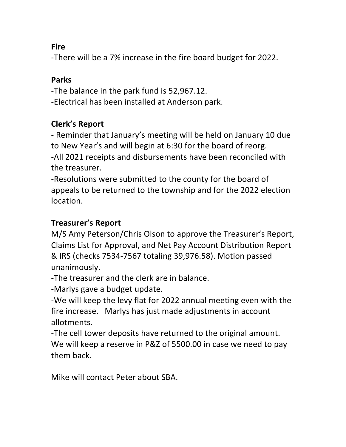### **Fire**

-There will be a 7% increase in the fire board budget for 2022.

### **Parks**

-The balance in the park fund is 52,967.12. -Electrical has been installed at Anderson park.

# **Clerk's Report**

- Reminder that January's meeting will be held on January 10 due to New Year's and will begin at 6:30 for the board of reorg. -All 2021 receipts and disbursements have been reconciled with the treasurer.

-Resolutions were submitted to the county for the board of appeals to be returned to the township and for the 2022 election location.

## **Treasurer's(Report**

M/S Amy Peterson/Chris Olson to approve the Treasurer's Report, Claims List for Approval, and Net Pay Account Distribution Report & IRS (checks 7534-7567 totaling 39,976.58). Motion passed unanimously.

-The treasurer and the clerk are in balance.

-Marlys gave a budget update.

-We will keep the levy flat for 2022 annual meeting even with the fire increase. Marlys has just made adjustments in account allotments.

-The cell tower deposits have returned to the original amount. We will keep a reserve in P&Z of 5500.00 in case we need to pay them back.

Mike will contact Peter about SBA.